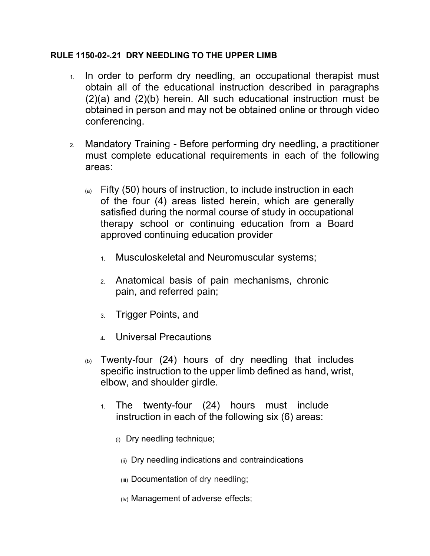## **RULE 1150-02-.21 DRY NEEDLING TO THE UPPER LIMB**

- 1. In order to perform dry needling, an occupational therapist must obtain all of the educational instruction described in paragraphs (2)(a) and (2)(b) herein. All such educational instruction must be obtained in person and may not be obtained online or through video conferencing.
- 2. Mandatory Training **-** Before performing dry needling, a practitioner must complete educational requirements in each of the following areas:
	- $\alpha$  Fifty (50) hours of instruction, to include instruction in each of the four (4) areas listed herein, which are generally satisfied during the normal course of study in occupational therapy school or continuing education from a Board approved continuing education provider
		- 1. Musculoskeletal and Neuromuscular systems;
		- 2. Anatomical basis of pain mechanisms, chronic pain, and referred pain;
		- 3. Trigger Points, and
		- 4. Universal Precautions
	- $_{(b)}$  Twenty-four (24) hours of dry needling that includes specific instruction to the upper limb defined as hand, wrist, elbow, and shoulder girdle.
		- 1. The twenty-four (24) hours must include instruction in each of the following six (6) areas:
			- (i) Dry needling technique;
				- (ii) Dry needling indications and contraindications
				- (iii) Documentation of dry needling;
				- (iv) Management of adverse effects;